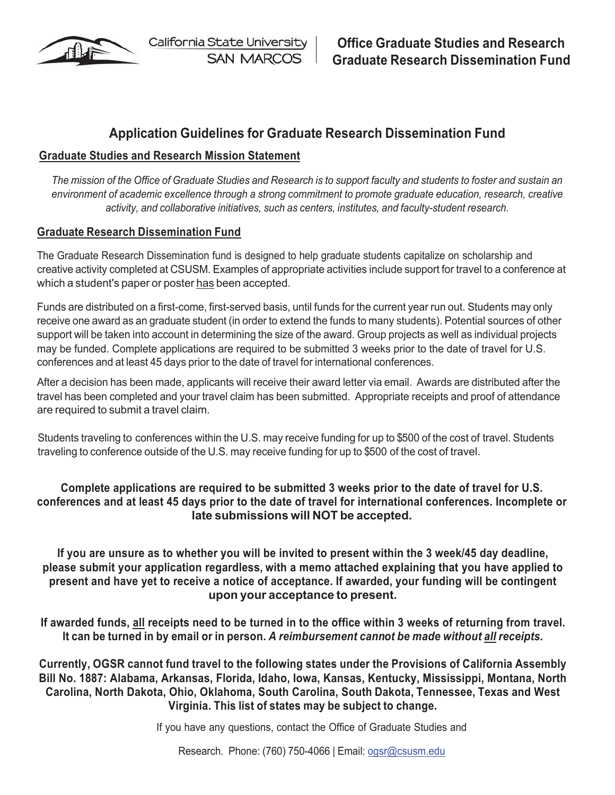

California State University **SAN MARCOS** 

# **Application Guidelines for Graduate Research Dissemination Fund**

## **Graduate Studies and Research Mission Statement**

The mission of the Office of Graduate Studies and Research is to support faculty and students to foster and sustain an *environment of academic excellence through a strong commitment to promote graduate education, research, creative activity, and collaborative initiatives, such as centers, institutes, and faculty-student research.*

### **Graduate Research Dissemination Fund**

The Graduate Research Dissemination fund is designed to help graduate students capitalize on scholarship and creative activity completed at CSUSM. Examples of appropriate activities include support for travel to a conference at which a student's paper or poster has been accepted.

Funds are distributed on a first-come, first-served basis, until funds for the current year run out. Students may only receive one award as an graduate student (in order to extend the funds to many students). Potential sources of other support will be taken into account in determining the size of the award. Group projects as well as individual projects may be funded. Complete applications are required to be submitted 3 weeks prior to the date of travel for U.S. conferences and at least 45 days prior to the date of travel for international conferences.

After a decision has been made, applicants will receive their award letter via email. Awards are distributed after the travel has been completed and your travel claim has been submitted. Appropriate receipts and proof of attendance are required to submit a travel claim.

Students traveling to conferences within the U.S. may receive funding for up to \$500 of the cost of travel. Students traveling to conference outside of the U.S. may receive funding for up to \$500 of the cost of travel.

## **Complete applications are required to be submitted 3 weeks prior to the date of travel for U.S. conferences and at least 45 days prior to the date of travel for international conferences. Incomplete or late submissions will NOT be accepted.**

**If you are unsure as to whether you will be invited to present within the 3 week/45 day deadline, please submit your application regardless, with a memo attached explaining that you have applied to present and have yet to receive a notice of acceptance. If awarded, your funding will be contingent upon your acceptance to present.**

**If awarded funds, all receipts need to be turned in to the office within 3 weeks of returning from travel. It can be turned in by email or in person.** *A reimbursement cannot be made without all receipts.*

**Currently, OGSR cannot fund travel to the following states under the Provisions of California Assembly Bill No. 1887: Alabama, Arkansas, Florida, Idaho, Iowa, Kansas, Kentucky, Mississippi, Montana, North Carolina, North Dakota, Ohio, Oklahoma, South Carolina, South Dakota, Tennessee, Texas and West Virginia. This list of states may be subject to change.**

If you have any questions, contact the Office of Graduate Studies and